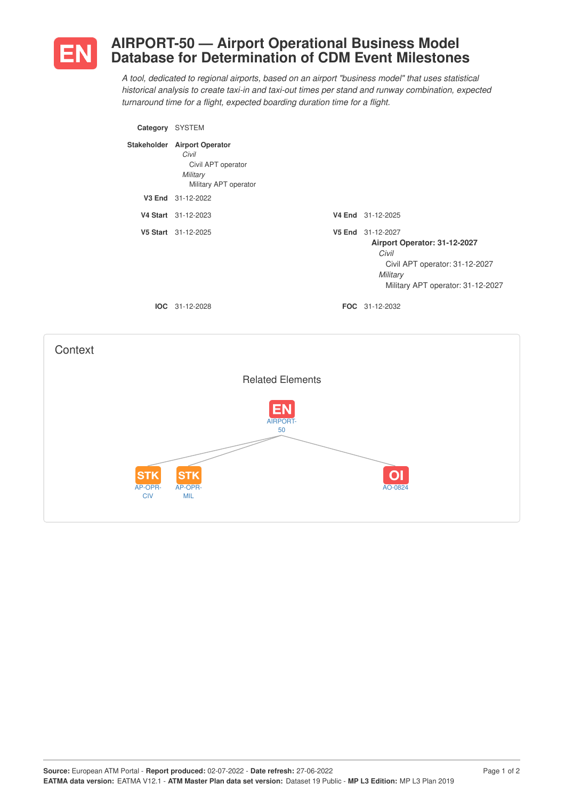

## **AIRPORT-50 — Airport Operational Business Model Database for Determination of CDM Event Milestones**

*A tool, dedicated to regional airports, based on an airport "business model" that uses statistical historical analysis to create taxi-in and taxi-out times per stand and runway combination, expected turnaround time for a flight, expected boarding duration time for a flight.*

| Category SYSTEM |                                                                                                  |                                                                                                                                               |
|-----------------|--------------------------------------------------------------------------------------------------|-----------------------------------------------------------------------------------------------------------------------------------------------|
|                 | Stakeholder Airport Operator<br>Civil<br>Civil APT operator<br>Military<br>Military APT operator |                                                                                                                                               |
|                 | V3 End 31-12-2022                                                                                |                                                                                                                                               |
|                 | V4 Start 31-12-2023                                                                              | V4 End 31-12-2025                                                                                                                             |
|                 | V5 Start 31-12-2025                                                                              | V5 End 31-12-2027<br>Airport Operator: 31-12-2027<br>Civil<br>Civil APT operator: 31-12-2027<br>Military<br>Military APT operator: 31-12-2027 |
|                 | $IOC 31-12-2028$                                                                                 | <b>FOC</b> 31-12-2032                                                                                                                         |
|                 |                                                                                                  |                                                                                                                                               |